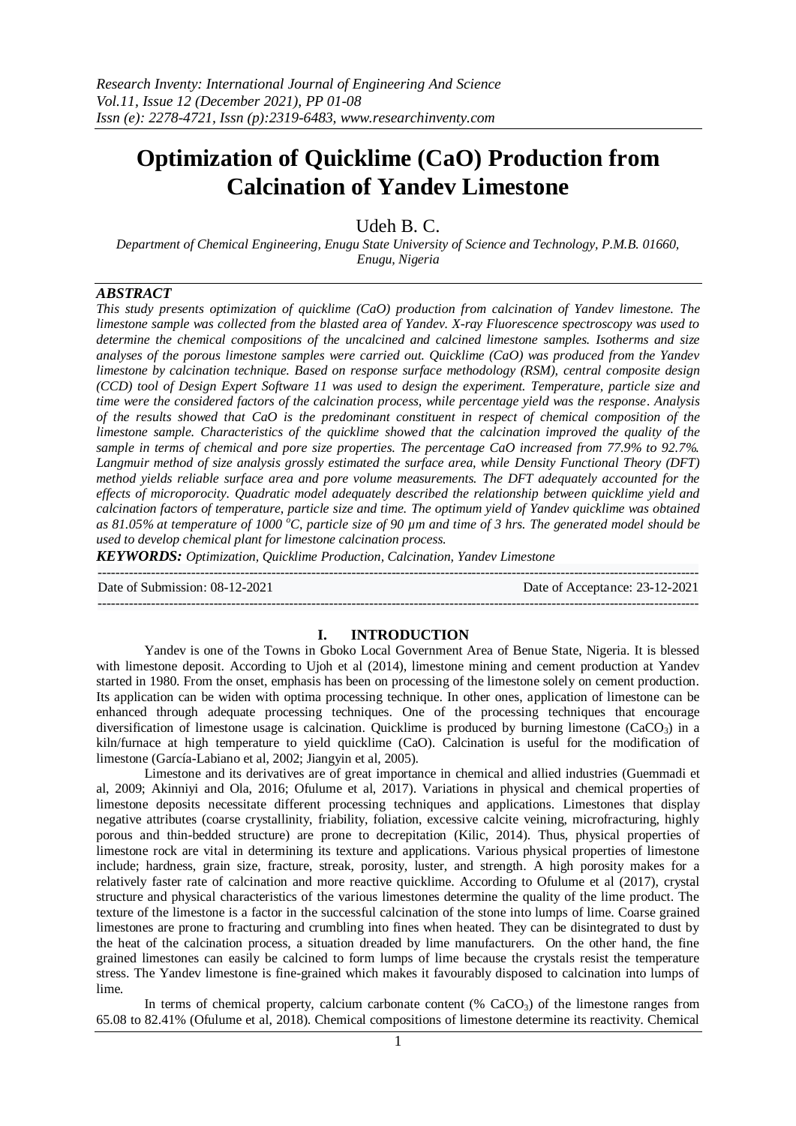# **Optimization of Quicklime (CaO) Production from Calcination of Yandev Limestone**

Udeh B. C.

*Department of Chemical Engineering, Enugu State University of Science and Technology, P.M.B. 01660, Enugu, Nigeria*

# *ABSTRACT*

*This study presents optimization of quicklime (CaO) production from calcination of Yandev limestone. The limestone sample was collected from the blasted area of Yandev. X-ray Fluorescence spectroscopy was used to determine the chemical compositions of the uncalcined and calcined limestone samples. Isotherms and size analyses of the porous limestone samples were carried out. Quicklime (CaO) was produced from the Yandev limestone by calcination technique. Based on response surface methodology (RSM), central composite design (CCD) tool of Design Expert Software 11 was used to design the experiment. Temperature, particle size and time were the considered factors of the calcination process, while percentage yield was the response. Analysis of the results showed that CaO is the predominant constituent in respect of chemical composition of the limestone sample. Characteristics of the quicklime showed that the calcination improved the quality of the sample in terms of chemical and pore size properties. The percentage CaO increased from 77.9% to 92.7%. Langmuir method of size analysis grossly estimated the surface area, while Density Functional Theory (DFT) method yields reliable surface area and pore volume measurements. The DFT adequately accounted for the effects of microporocity. Quadratic model adequately described the relationship between quicklime yield and calcination factors of temperature, particle size and time. The optimum yield of Yandev quicklime was obtained as 81.05% at temperature of 1000 <sup>o</sup>C, particle size of 90 µm and time of 3 hrs. The generated model should be used to develop chemical plant for limestone calcination process.*

*KEYWORDS: Optimization, Quicklime Production, Calcination, Yandev Limestone*

--------------------------------------------------------------------------------------------------------------------------------------- Date of Submission: 08-12-2021 Date of Acceptance: 23-12-2021 ---------------------------------------------------------------------------------------------------------------------------------------

# **I. INTRODUCTION**

Yandev is one of the Towns in Gboko Local Government Area of Benue State, Nigeria. It is blessed with limestone deposit. According to Ujoh et al (2014), limestone mining and cement production at Yandev started in 1980. From the onset, emphasis has been on processing of the limestone solely on cement production. Its application can be widen with optima processing technique. In other ones, application of limestone can be enhanced through adequate processing techniques. One of the processing techniques that encourage diversification of limestone usage is calcination. Quicklime is produced by burning limestone (CaCO<sub>3</sub>) in a kiln/furnace at high temperature to yield quicklime (CaO). Calcination is useful for the modification of limestone (García-Labiano et al, 2002; Jiangyin et al, 2005).

Limestone and its derivatives are of great importance in chemical and allied industries (Guemmadi et al, 2009; Akinniyi and Ola, 2016; Ofulume et al, 2017). Variations in physical and chemical properties of limestone deposits necessitate different processing techniques and applications. Limestones that display negative attributes (coarse crystallinity, friability, foliation, excessive calcite veining, microfracturing, highly porous and thin-bedded structure) are prone to decrepitation (Kilic, 2014). Thus, physical properties of limestone rock are vital in determining its texture and applications. Various physical properties of limestone include; hardness, grain size, fracture, streak, porosity, luster, and strength. A high porosity makes for a relatively faster rate of calcination and more reactive quicklime. According to Ofulume et al (2017), crystal structure and physical characteristics of the various limestones determine the quality of the lime product. The texture of the limestone is a factor in the successful calcination of the stone into lumps of lime. Coarse grained limestones are prone to fracturing and crumbling into fines when heated. They can be disintegrated to dust by the heat of the calcination process, a situation dreaded by lime manufacturers. On the other hand, the fine grained limestones can easily be calcined to form lumps of lime because the crystals resist the temperature stress. The Yandev limestone is fine-grained which makes it favourably disposed to calcination into lumps of lime.

In terms of chemical property, calcium carbonate content (%  $CaCO<sub>3</sub>$ ) of the limestone ranges from 65.08 to 82.41% (Ofulume et al, 2018). Chemical compositions of limestone determine its reactivity. Chemical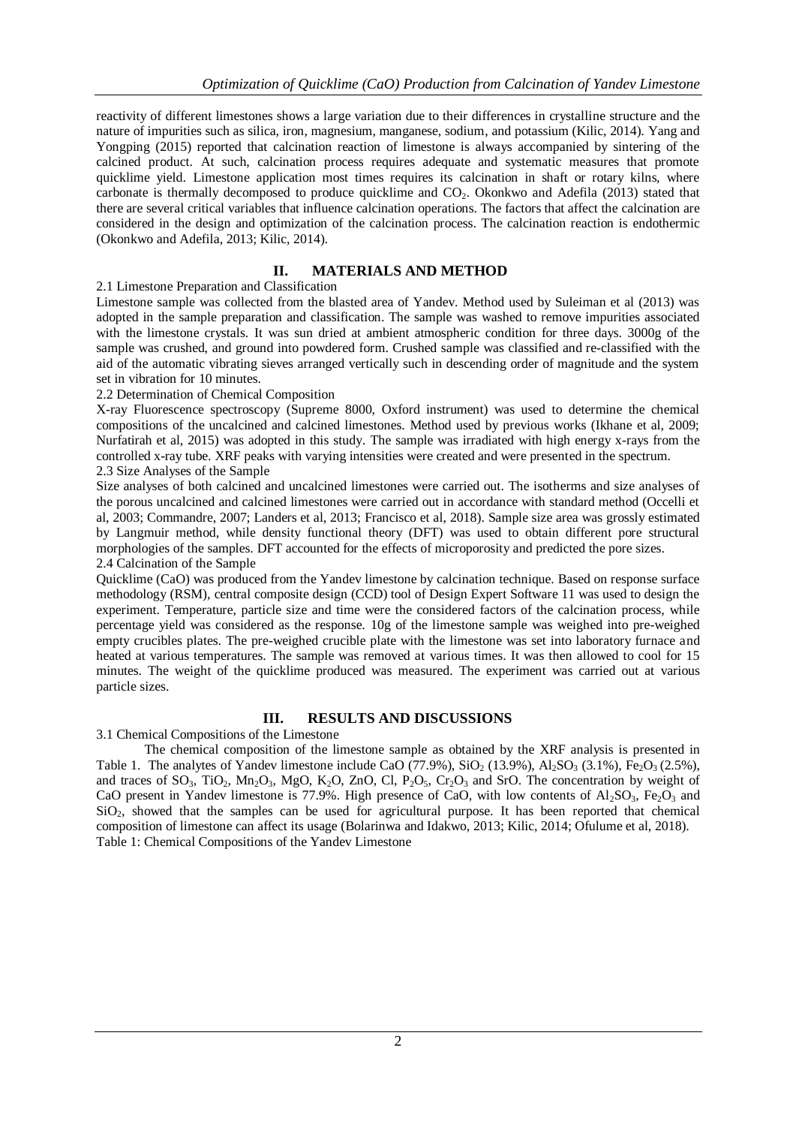reactivity of different limestones shows a large variation due to their differences in crystalline structure and the nature of impurities such as silica, iron, magnesium, manganese, sodium, and potassium (Kilic, 2014). Yang and Yongping (2015) reported that calcination reaction of limestone is always accompanied by sintering of the calcined product. At such, calcination process requires adequate and systematic measures that promote quicklime yield. Limestone application most times requires its calcination in shaft or rotary kilns, where carbonate is thermally decomposed to produce quicklime and  $CO<sub>2</sub>$ . Okonkwo and Adefila (2013) stated that there are several critical variables that influence calcination operations. The factors that affect the calcination are considered in the design and optimization of the calcination process. The calcination reaction is endothermic (Okonkwo and Adefila, 2013; Kilic, 2014).

# **II. MATERIALS AND METHOD**

# 2.1 Limestone Preparation and Classification

Limestone sample was collected from the blasted area of Yandev. Method used by Suleiman et al (2013) was adopted in the sample preparation and classification. The sample was washed to remove impurities associated with the limestone crystals. It was sun dried at ambient atmospheric condition for three days. 3000g of the sample was crushed, and ground into powdered form. Crushed sample was classified and re-classified with the aid of the automatic vibrating sieves arranged vertically such in descending order of magnitude and the system set in vibration for 10 minutes.

# 2.2 Determination of Chemical Composition

X-ray Fluorescence spectroscopy (Supreme 8000, Oxford instrument) was used to determine the chemical compositions of the uncalcined and calcined limestones. Method used by previous works (Ikhane et al, 2009; Nurfatirah et al, 2015) was adopted in this study. The sample was irradiated with high energy x-rays from the controlled x-ray tube. XRF peaks with varying intensities were created and were presented in the spectrum. 2.3 Size Analyses of the Sample

Size analyses of both calcined and uncalcined limestones were carried out. The isotherms and size analyses of the porous uncalcined and calcined limestones were carried out in accordance with standard method (Occelli et al, 2003; Commandre, 2007; Landers et al, 2013; Francisco et al, 2018). Sample size area was grossly estimated by Langmuir method, while density functional theory (DFT) was used to obtain different pore structural morphologies of the samples. DFT accounted for the effects of microporosity and predicted the pore sizes. 2.4 Calcination of the Sample

Quicklime (CaO) was produced from the Yandev limestone by calcination technique. Based on response surface methodology (RSM), central composite design (CCD) tool of Design Expert Software 11 was used to design the experiment. Temperature, particle size and time were the considered factors of the calcination process, while percentage yield was considered as the response. 10g of the limestone sample was weighed into pre-weighed empty crucibles plates. The pre-weighed crucible plate with the limestone was set into laboratory furnace and heated at various temperatures. The sample was removed at various times. It was then allowed to cool for 15 minutes. The weight of the quicklime produced was measured. The experiment was carried out at various particle sizes.

# **III. RESULTS AND DISCUSSIONS**

3.1 Chemical Compositions of the Limestone

The chemical composition of the limestone sample as obtained by the XRF analysis is presented in Table 1. The analytes of Yandev limestone include CaO (77.9%), SiO<sub>2</sub> (13.9%), Al<sub>2</sub>SO<sub>3</sub> (3.1%), Fe<sub>2</sub>O<sub>3</sub> (2.5%), and traces of  $SO_3$ , TiO<sub>2</sub>, Mn<sub>2</sub>O<sub>3</sub>, MgO, K<sub>2</sub>O, ZnO, Cl, P<sub>2</sub>O<sub>5</sub>, Cr<sub>2</sub>O<sub>3</sub> and SrO. The concentration by weight of CaO present in Yandev limestone is 77.9%. High presence of CaO, with low contents of Al<sub>2</sub>SO<sub>3</sub>, Fe<sub>2</sub>O<sub>3</sub> and  $SiO<sub>2</sub>$ , showed that the samples can be used for agricultural purpose. It has been reported that chemical composition of limestone can affect its usage (Bolarinwa and Idakwo, 2013; Kilic, 2014; Ofulume et al, 2018). Table 1: Chemical Compositions of the Yandev Limestone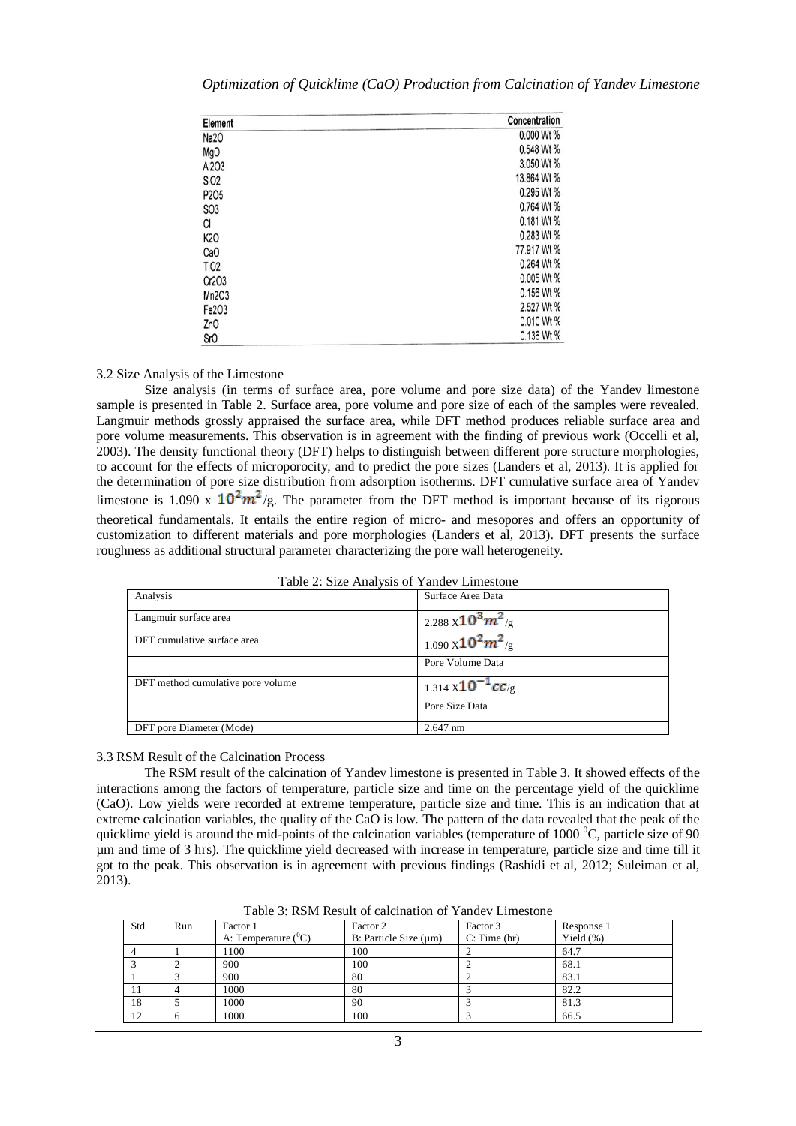| Optimization of Quicklime (CaO) Production from Calcination of Yandev Limestone |  |  |  |  |
|---------------------------------------------------------------------------------|--|--|--|--|
|---------------------------------------------------------------------------------|--|--|--|--|

| Element          | Concentration |
|------------------|---------------|
| Na <sub>20</sub> | 0.000 Wt %    |
| MgO              | 0.548 Wt %    |
| Al2O3            | 3.050 Wt %    |
| SiO <sub>2</sub> | 13.864 Wt %   |
| P205             | 0.295 Wt %    |
| SO <sub>3</sub>  | 0.764 Wt %    |
| CI               | 0.181 Wt %    |
| K20              | 0.283 Wt %    |
| CaO              | 77.917 Wt %   |
| TiO <sub>2</sub> | 0.264 Wt %    |
| Cr2O3            | 0.005 Wt %    |
| Mn2O3            | 0.156 Wt %    |
| Fe2O3            | 2.527 Wt %    |
| ZnO              | 0.010 Wt %    |
| <b>SrO</b>       | 0.136 Wt %    |

#### 3.2 Size Analysis of the Limestone

Size analysis (in terms of surface area, pore volume and pore size data) of the Yandev limestone sample is presented in Table 2. Surface area, pore volume and pore size of each of the samples were revealed. Langmuir methods grossly appraised the surface area, while DFT method produces reliable surface area and pore volume measurements. This observation is in agreement with the finding of previous work (Occelli et al, 2003). The density functional theory (DFT) helps to distinguish between different pore structure morphologies, to account for the effects of microporocity, and to predict the pore sizes (Landers et al, 2013). It is applied for the determination of pore size distribution from adsorption isotherms. DFT cumulative surface area of Yandev limestone is 1.090 x  $10^2 m^2/g$ . The parameter from the DFT method is important because of its rigorous theoretical fundamentals. It entails the entire region of micro- and mesopores and offers an opportunity of customization to different materials and pore morphologies (Landers et al, 2013). DFT presents the surface roughness as additional structural parameter characterizing the pore wall heterogeneity.

| Table 2: Size Analysis of Yandev Limestone |  |
|--------------------------------------------|--|
|--------------------------------------------|--|

| Analysis                          | Surface Area Data                      |
|-----------------------------------|----------------------------------------|
| Langmuir surface area             | $2.288 \times 10^3 m^2$ /g             |
| DFT cumulative surface area       | $1.090 \times 10^{2} m^{2}_{\text{g}}$ |
|                                   | Pore Volume Data                       |
| DFT method cumulative pore volume | 1.314 $\times 10^{-1}$ cC/g            |
|                                   | Pore Size Data                         |
| DFT pore Diameter (Mode)          | $2.647$ nm                             |

#### 3.3 RSM Result of the Calcination Process

The RSM result of the calcination of Yandev limestone is presented in Table 3. It showed effects of the interactions among the factors of temperature, particle size and time on the percentage yield of the quicklime (CaO). Low yields were recorded at extreme temperature, particle size and time. This is an indication that at extreme calcination variables, the quality of the CaO is low. The pattern of the data revealed that the peak of the quicklime yield is around the mid-points of the calcination variables (temperature of  $1000<sup>o</sup>C$ , particle size of 90 µm and time of 3 hrs). The quicklime yield decreased with increase in temperature, particle size and time till it got to the peak. This observation is in agreement with previous findings (Rashidi et al, 2012; Suleiman et al, 2013).

| Std | Run | Factor 1               | Factor 2                   | Factor 3     | Response 1   |
|-----|-----|------------------------|----------------------------|--------------|--------------|
|     |     | A: Temperature $(^0C)$ | B: Particle Size $(\mu m)$ | C: Time (hr) | Yield $(\%)$ |
|     |     | 1100                   | 100                        |              | 64.7         |
|     |     | 900                    | 100                        |              | 68.1         |
|     |     | 900                    | 80                         |              | 83.1         |
|     |     | 1000                   | 80                         |              | 82.2         |
| 18  |     | 1000                   | 90                         |              | 81.3         |
| 12  |     | 1000                   | 100                        |              | 66.5         |

Table 3: RSM Result of calcination of Yandev Limestone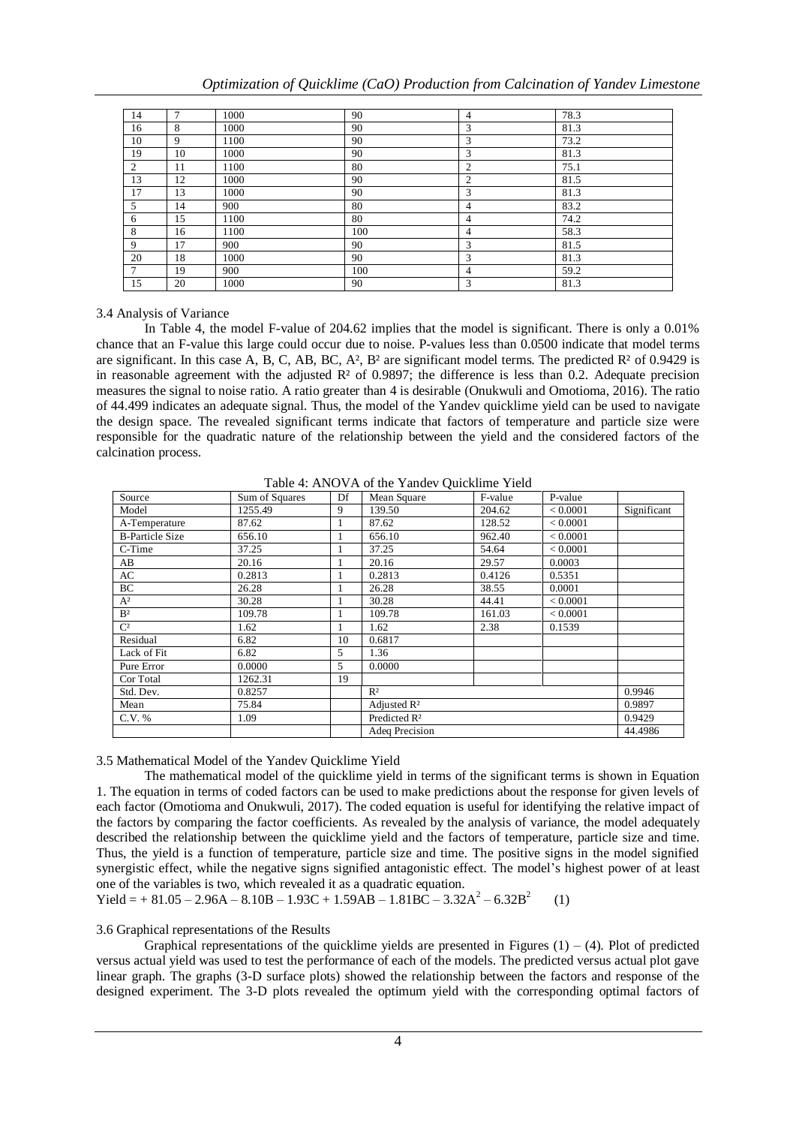| 14            | 7  | 1000 | 90  | $\overline{4}$ | 78.3 |
|---------------|----|------|-----|----------------|------|
| 16            | 8  | 1000 | 90  | 3              | 81.3 |
| 10            | 9  | 1100 | 90  | 3              | 73.2 |
| 19            | 10 | 1000 | 90  | 3              | 81.3 |
| 2             | 11 | 1100 | 80  | 2              | 75.1 |
| 13            | 12 | 1000 | 90  | 2              | 81.5 |
| 17            | 13 | 1000 | 90  | 3              | 81.3 |
| 5             | 14 | 900  | 80  | 4              | 83.2 |
| 6             | 15 | 1100 | 80  | 4              | 74.2 |
| 8             | 16 | 1100 | 100 | 4              | 58.3 |
| 9             | 17 | 900  | 90  | 3              | 81.5 |
| 20            | 18 | 1000 | 90  | 3              | 81.3 |
| $\mathcal{I}$ | 19 | 900  | 100 | 4              | 59.2 |
| 15            | 20 | 1000 | 90  | 3              | 81.3 |

#### 3.4 Analysis of Variance

In Table 4, the model F-value of 204.62 implies that the model is significant. There is only a 0.01% chance that an F-value this large could occur due to noise. P-values less than 0.0500 indicate that model terms are significant. In this case A, B, C, AB, BC, A<sup>2</sup>, B<sup>2</sup> are significant model terms. The predicted  $\mathbb{R}^2$  of 0.9429 is in reasonable agreement with the adjusted  $\mathbb{R}^2$  of 0.9897; the difference is less than 0.2. Adequate precision measures the signal to noise ratio. A ratio greater than 4 is desirable (Onukwuli and Omotioma, 2016). The ratio of 44.499 indicates an adequate signal. Thus, the model of the Yandev quicklime yield can be used to navigate the design space. The revealed significant terms indicate that factors of temperature and particle size were responsible for the quadratic nature of the relationship between the yield and the considered factors of the calcination process.

Table 4: ANOVA of the Yandev Quicklime Yield

| Source                 | Sum of Squares | Df | Mean Square              | F-value | P-value  |             |
|------------------------|----------------|----|--------------------------|---------|----------|-------------|
| Model                  | 1255.49        | 9  | 139.50                   | 204.62  | < 0.0001 | Significant |
| A-Temperature          | 87.62          |    | 87.62                    | 128.52  | < 0.0001 |             |
| <b>B-Particle Size</b> | 656.10         |    | 656.10                   | 962.40  | < 0.0001 |             |
| C-Time                 | 37.25          |    | 37.25                    | 54.64   | < 0.0001 |             |
| AB                     | 20.16          | 1  | 20.16                    | 29.57   | 0.0003   |             |
| AC                     | 0.2813         |    | 0.2813                   | 0.4126  | 0.5351   |             |
| ВC                     | 26.28          | 1  | 26.28                    | 38.55   | 0.0001   |             |
| $A^2$                  | 30.28          |    | 30.28                    | 44.41   | < 0.0001 |             |
| B <sup>2</sup>         | 109.78         |    | 109.78                   | 161.03  | < 0.0001 |             |
| $\mathrm{C}^2$         | 1.62           |    | 1.62                     | 2.38    | 0.1539   |             |
| Residual               | 6.82           | 10 | 0.6817                   |         |          |             |
| Lack of Fit            | 6.82           | 5  | 1.36                     |         |          |             |
| Pure Error             | 0.0000         | 5  | 0.0000                   |         |          |             |
| Cor Total              | 1262.31        | 19 |                          |         |          |             |
| Std. Dev.              | 0.8257         |    | R <sup>2</sup>           |         |          | 0.9946      |
| Mean                   | 75.84          |    | Adjusted R <sup>2</sup>  |         |          | 0.9897      |
| C.V. %                 | 1.09           |    | Predicted R <sup>2</sup> |         | 0.9429   |             |
|                        |                |    | Adeq Precision           |         |          | 44.4986     |

3.5 Mathematical Model of the Yandev Quicklime Yield

The mathematical model of the quicklime yield in terms of the significant terms is shown in Equation 1. The equation in terms of coded factors can be used to make predictions about the response for given levels of each factor (Omotioma and Onukwuli, 2017). The coded equation is useful for identifying the relative impact of the factors by comparing the factor coefficients. As revealed by the analysis of variance, the model adequately described the relationship between the quicklime yield and the factors of temperature, particle size and time. Thus, the yield is a function of temperature, particle size and time. The positive signs in the model signified synergistic effect, while the negative signs signified antagonistic effect. The model's highest power of at least one of the variables is two, which revealed it as a quadratic equation.

Yield =  $+ 81.05 - 2.96A - 8.10B - 1.93C + 1.59AB - 1.81BC - 3.32A^2 - 6.32B^2$ (1)

# 3.6 Graphical representations of the Results

Graphical representations of the quicklime yields are presented in Figures  $(1) - (4)$ . Plot of predicted versus actual yield was used to test the performance of each of the models. The predicted versus actual plot gave linear graph. The graphs (3-D surface plots) showed the relationship between the factors and response of the designed experiment. The 3-D plots revealed the optimum yield with the corresponding optimal factors of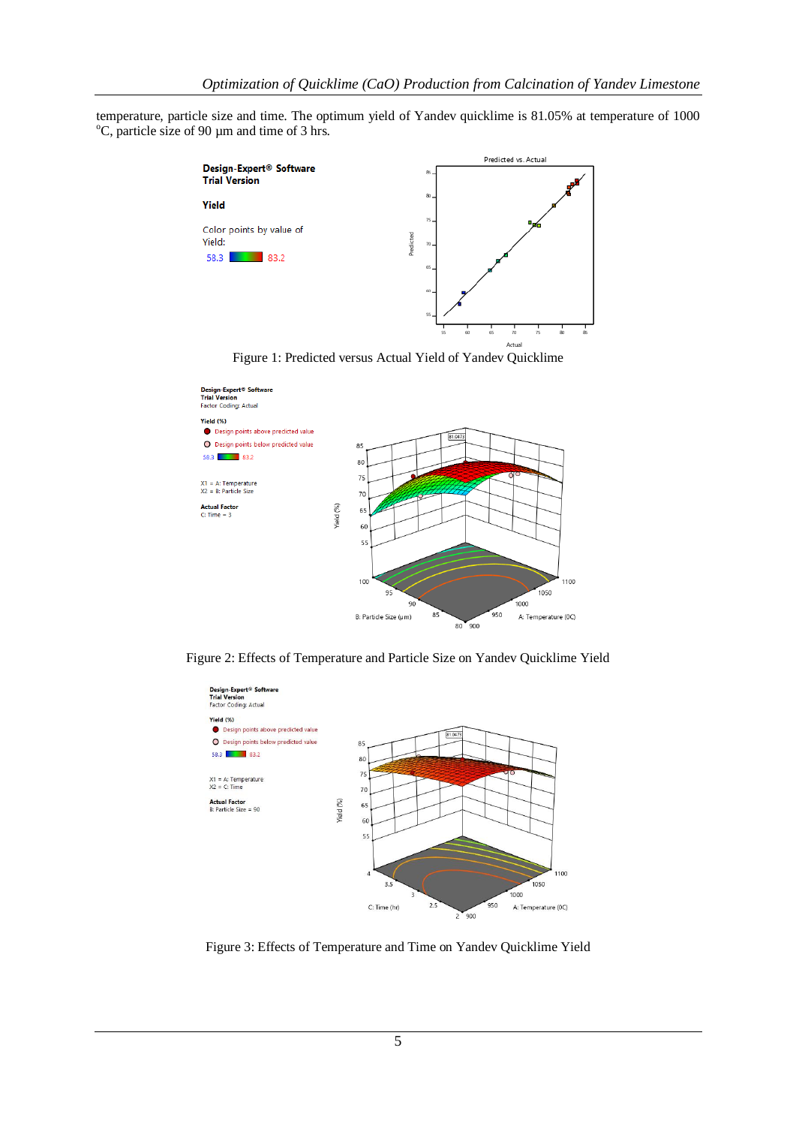temperature, particle size and time. The optimum yield of Yandev quicklime is 81.05% at temperature of 1000  $\rm{^{\circ}C}$ , particle size of 90 µm and time of 3 hrs.



Figure 1: Predicted versus Actual Yield of Yandev Quicklime



Figure 2: Effects of Temperature and Particle Size on Yandev Quicklime Yield



Figure 3: Effects of Temperature and Time on Yandev Quicklime Yield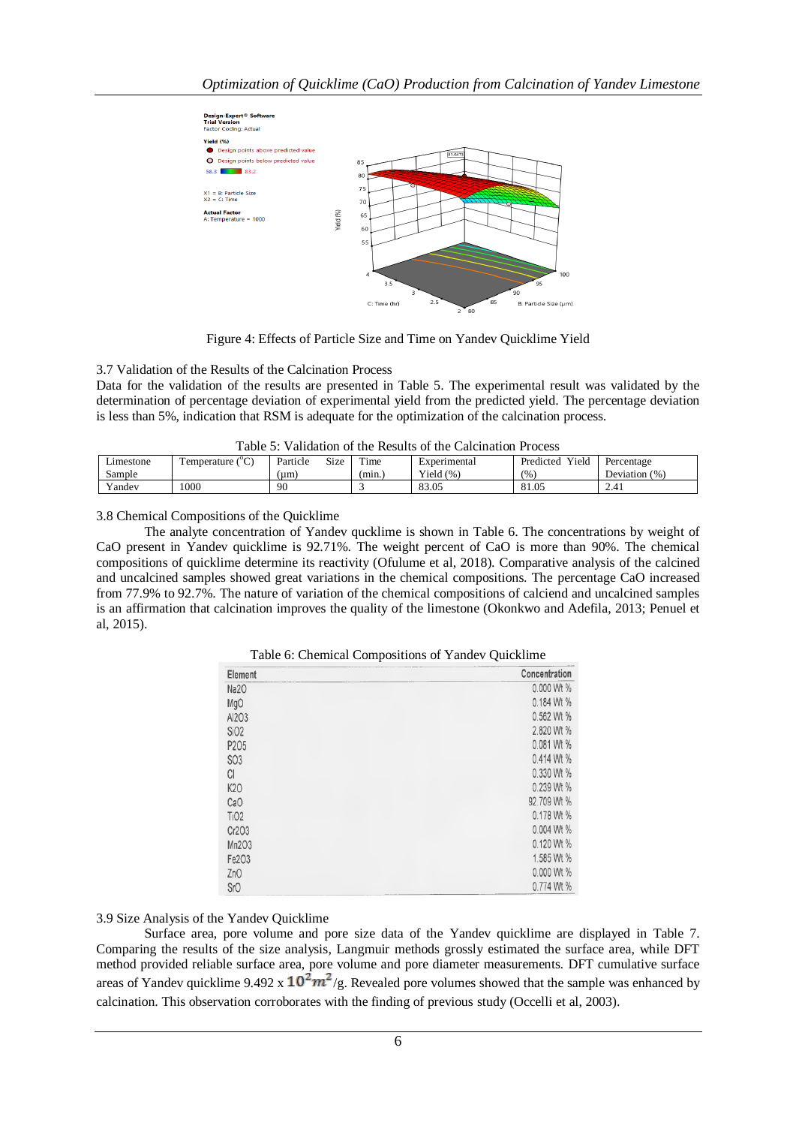

Figure 4: Effects of Particle Size and Time on Yandev Quicklime Yield

#### 3.7 Validation of the Results of the Calcination Process

Data for the validation of the results are presented in Table 5. The experimental result was validated by the determination of percentage deviation of experimental yield from the predicted yield. The percentage deviation is less than 5%, indication that RSM is adequate for the optimization of the calcination process.

|                           |          |             |        | Table 5: Validation of the Results of the Calcination Process |                            |             |
|---------------------------|----------|-------------|--------|---------------------------------------------------------------|----------------------------|-------------|
| Temperature $(^{\circ}C)$ | Particle | <b>Size</b> | Time   | Experimental                                                  | Predicted Yield Percentage |             |
|                           | (num)    |             | (min.) | Yield $(\%)$                                                  | (%)                        | Deviation ( |

Yandev 1000 90 3 83.05 81.05 2.41

|  |  | Table 5: Validation of the Results of the Calcination Process |
|--|--|---------------------------------------------------------------|
|--|--|---------------------------------------------------------------|

Deviation (%)

3.8 Chemical Compositions of the Quicklime

Limestone Sample

The analyte concentration of Yandev qucklime is shown in Table 6. The concentrations by weight of CaO present in Yandev quicklime is 92.71%. The weight percent of CaO is more than 90%. The chemical compositions of quicklime determine its reactivity (Ofulume et al, 2018). Comparative analysis of the calcined and uncalcined samples showed great variations in the chemical compositions. The percentage CaO increased from 77.9% to 92.7%. The nature of variation of the chemical compositions of calciend and uncalcined samples is an affirmation that calcination improves the quality of the limestone (Okonkwo and Adefila, 2013; Penuel et al, 2015).

| Element          | Concentration |
|------------------|---------------|
| Na <sub>20</sub> | 0.000 Wt %    |
| MgO              | 0.184 Wt %    |
| Al203            | 0.562 Wt %    |
| SiO <sub>2</sub> | 2.820 Wt %    |
| P205             | 0.081 Wt %    |
| <b>SO3</b>       | 0.414 Wt %    |
| CI               | 0.330 Wt %    |
| K20              | 0.239 Wt %    |
| CaO              | 92.709 Wt %   |
| TiO <sub>2</sub> | 0.178 Wt %    |
| Cr2O3            | 0.004 Wt %    |
| Mn2O3            | 0.120 Wt %    |
| Fe2O3            | 1.585 Wt %    |
| ZnO              | 0.000 Wt %    |
| <b>SrO</b>       | 0.774 Wt %    |

Table 6: Chemical Compositions of Yandev Quicklime

# 3.9 Size Analysis of the Yandev Quicklime

Surface area, pore volume and pore size data of the Yandev quicklime are displayed in Table 7. Comparing the results of the size analysis, Langmuir methods grossly estimated the surface area, while DFT method provided reliable surface area, pore volume and pore diameter measurements. DFT cumulative surface areas of Yandev quicklime 9.492 x  $10^2 m^2/g$ . Revealed pore volumes showed that the sample was enhanced by calcination. This observation corroborates with the finding of previous study (Occelli et al, 2003).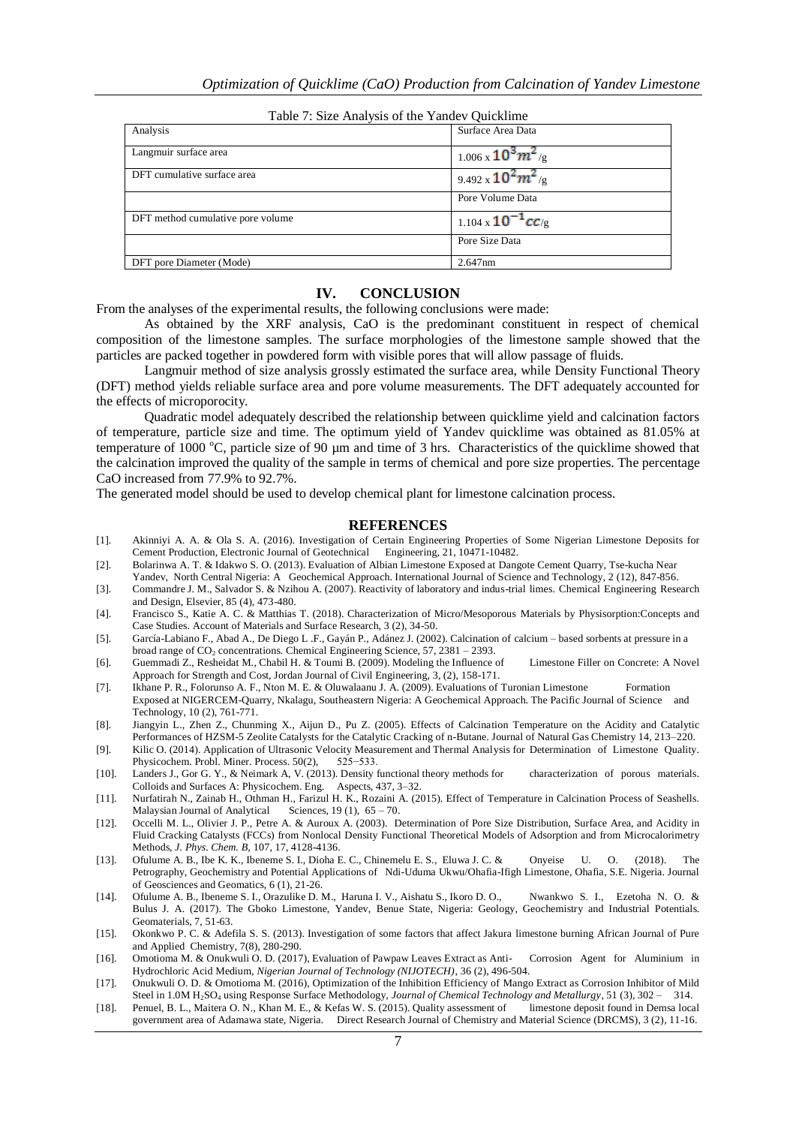| Tuble 7: Size I that you be the Tunder Quietmine |                            |
|--------------------------------------------------|----------------------------|
| Analysis                                         | Surface Area Data          |
| Langmuir surface area                            | $1.006 \times 10^3 m^2$ /g |
| DFT cumulative surface area                      | 9.492 x $10^2 m^2$ /g      |
|                                                  | Pore Volume Data           |
| DFT method cumulative pore volume                | 1.104 x $10^{-1}$ cC/g     |
|                                                  | Pore Size Data             |
| DFT pore Diameter (Mode)                         | 2.647nm                    |

Table 7: Size Analysis of the Yandev Quicklime

#### **IV. CONCLUSION**

From the analyses of the experimental results, the following conclusions were made:

As obtained by the XRF analysis, CaO is the predominant constituent in respect of chemical composition of the limestone samples. The surface morphologies of the limestone sample showed that the particles are packed together in powdered form with visible pores that will allow passage of fluids.

Langmuir method of size analysis grossly estimated the surface area, while Density Functional Theory (DFT) method yields reliable surface area and pore volume measurements. The DFT adequately accounted for the effects of microporocity.

Quadratic model adequately described the relationship between quicklime yield and calcination factors of temperature, particle size and time. The optimum yield of Yandev quicklime was obtained as 81.05% at temperature of 1000  $^{\circ}$ C, particle size of 90 µm and time of 3 hrs. Characteristics of the quicklime showed that the calcination improved the quality of the sample in terms of chemical and pore size properties. The percentage CaO increased from 77.9% to 92.7%.

The generated model should be used to develop chemical plant for limestone calcination process.

#### **REFERENCES**

- [1]. Akinniyi A. A. & Ola S. A. (2016). Investigation of Certain Engineering Properties of Some Nigerian Limestone Deposits for Cement Production, Electronic Journal of Geotechnical Engineering, 21, 10471-10482.
- [2]. Bolarinwa A. T. & Idakwo S. O. (2013). Evaluation of Albian Limestone Exposed at Dangote Cement Quarry, Tse-kucha Near Yandev, North Central Nigeria: A Geochemical Approach. International Journal of Science and Technology, 2 (12), 847-856.
- [3]. Commandre J. M., Salvador S. & Nzihou A. (2007). Reactivity of laboratory and indus-trial limes. Chemical Engineering Research and Design, Elsevier, 85 (4), 473-480.
- [4]. Francisco S., Katie A. C. & Matthias T. (2018). Characterization of Micro/Mesoporous Materials by Physisorption:Concepts and Case Studies. Account of Materials and Surface Research, 3 (2), 34-50.
- [5]. García-Labiano F., Abad A., De Diego L .F., Gayán P., Adánez J. (2002). Calcination of calcium based sorbents at pressure in a broad range of CO<sub>2</sub> concentrations. Chemical Engineering Science, 57, 2381 – 2393.
- [6]. Guemmadi Z., Resheidat M., Chabil H. & Toumi B. (2009). Modeling the Influence of Limestone Filler on Concrete: A Novel Approach for Strength and Cost, Jordan Journal of Civil Engineering, 3, (2), 158-171.
- [7]. Ikhane P. R., Folorunso A. F., Nton M. E. & Oluwalaanu J. A. (2009). Evaluations of Turonian Limestone Formation Exposed at NIGERCEM-Quarry, Nkalagu, Southeastern Nigeria: A Geochemical Approach. The Pacific Journal of Science and Technology, 10 (2), 761-771.
- [8]. Jiangyin L., Zhen Z., Chunming X., Aijun D., Pu Z. (2005). Effects of Calcination Temperature on the Acidity and Catalytic Performances of HZSM-5 Zeolite Catalysts for the Catalytic Cracking of n-Butane. Journal of Natural Gas Chemistry 14, 213–220.
- [9]. Kilic O. (2014). Application of Ultrasonic Velocity Measurement and Thermal Analysis for Determination of Limestone Quality. Physicochem. Probl. Miner. Process. 50(2), 525–533. Physicochem. Probl. Miner. Process. 50(2),
- [10]. Landers J., Gor G. Y., & Neimark A, V. (2013). Density functional theory methods for characterization of porous materials. Colloids and Surfaces A: Physicochem. Eng. Aspects, 437, 3–32.
- [11]. Nurfatirah N., Zainab H., Othman H., Farizul H. K., Rozaini A. (2015). Effect of Temperature in Calcination Process of Seashells. Malaysian Journal of Analytical Sciences,  $19(1)$ ,  $65 - 70$ .
- [12]. Occelli M. L., Olivier J. P., Petre A. & Auroux A. (2003). Determination of Pore Size Distribution, Surface Area, and Acidity in Fluid Cracking Catalysts (FCCs) from Nonlocal Density Functional Theoretical Models of Adsorption and from Microcalorimetry Methods, *J. Phys. Chem. B,* 107, 17, 4128-4136.
- [13]. Ofulume A. B., Ibe K. K., Ibeneme S. I., Dioha E. C., Chinemelu E. S., Eluwa J. C. & Onyeise U. O. (2018). The Petrography, Geochemistry and Potential Applications of Ndi-Uduma Ukwu/Ohafia-Ifigh Limestone, Ohafia, S.E. Nigeria. Journal of Geosciences and Geomatics, 6 (1), 21-26.
- [14]. Ofulume A. B., Ibeneme S. I., Orazulike D. M., Haruna I. V., Aishatu S., Ikoro D. O., Nwankwo S. I., Ezetoha N. O. & Bulus J. A. (2017). The Gboko Limestone, Yandev, Benue State, Nigeria: Geology, Geochemistry and Industrial Potentials. Geomaterials, 7, 51-63.
- [15]. Okonkwo P. C. & Adefila S. S. (2013). Investigation of some factors that affect Jakura limestone burning African Journal of Pure and Applied Chemistry, 7(8), 280-290.
- [16]. Omotioma M. & Onukwuli O. D. (2017), Evaluation of Pawpaw Leaves Extract as Anti- Corrosion Agent for Aluminium in Hydrochloric Acid Medium, *Nigerian Journal of Technology (NIJOTECH)*, 36 (2), 496-504.
- [17]. Onukwuli O. D. & Omotioma M. (2016), Optimization of the Inhibition Efficiency of Mango Extract as Corrosion Inhibitor of Mild Steel in 1.0M H<sub>2</sub>SO<sub>4</sub> using Response Surface Methodology, *Journal of Chemical Technology and Metallurgy*, 51 (3), 302 – 314.
- [18]. Penuel, B. L., Maitera O. N., Khan M. E., & Kefas W. S. (2015). Quality assessment of limestone deposit found in Demsa local government area of Adamawa state, Nigeria. Direct Research Journal of Chemistry and Material Science (DRCMS), 3 (2), 11-16.